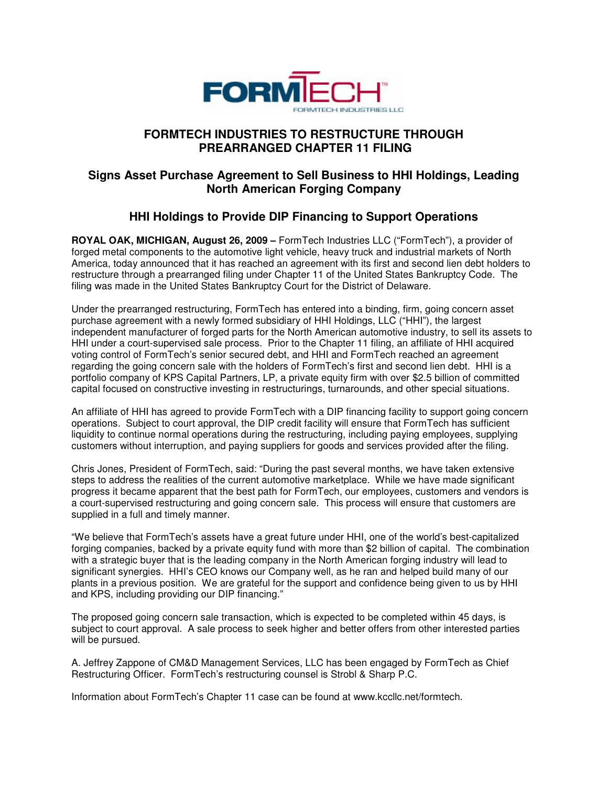

## **FORMTECH INDUSTRIES TO RESTRUCTURE THROUGH PREARRANGED CHAPTER 11 FILING**

## **Signs Asset Purchase Agreement to Sell Business to HHI Holdings, Leading North American Forging Company**

# **HHI Holdings to Provide DIP Financing to Support Operations**

**ROYAL OAK, MICHIGAN, August 26, 2009 –** FormTech Industries LLC ("FormTech"), a provider of forged metal components to the automotive light vehicle, heavy truck and industrial markets of North America, today announced that it has reached an agreement with its first and second lien debt holders to restructure through a prearranged filing under Chapter 11 of the United States Bankruptcy Code. The filing was made in the United States Bankruptcy Court for the District of Delaware.

Under the prearranged restructuring, FormTech has entered into a binding, firm, going concern asset purchase agreement with a newly formed subsidiary of HHI Holdings, LLC ("HHI"), the largest independent manufacturer of forged parts for the North American automotive industry, to sell its assets to HHI under a court-supervised sale process. Prior to the Chapter 11 filing, an affiliate of HHI acquired voting control of FormTech's senior secured debt, and HHI and FormTech reached an agreement regarding the going concern sale with the holders of FormTech's first and second lien debt. HHI is a portfolio company of KPS Capital Partners, LP, a private equity firm with over \$2.5 billion of committed capital focused on constructive investing in restructurings, turnarounds, and other special situations.

An affiliate of HHI has agreed to provide FormTech with a DIP financing facility to support going concern operations. Subject to court approval, the DIP credit facility will ensure that FormTech has sufficient liquidity to continue normal operations during the restructuring, including paying employees, supplying customers without interruption, and paying suppliers for goods and services provided after the filing.

Chris Jones, President of FormTech, said: "During the past several months, we have taken extensive steps to address the realities of the current automotive marketplace. While we have made significant progress it became apparent that the best path for FormTech, our employees, customers and vendors is a court-supervised restructuring and going concern sale. This process will ensure that customers are supplied in a full and timely manner.

"We believe that FormTech's assets have a great future under HHI, one of the world's best-capitalized forging companies, backed by a private equity fund with more than \$2 billion of capital. The combination with a strategic buyer that is the leading company in the North American forging industry will lead to significant synergies. HHI's CEO knows our Company well, as he ran and helped build many of our plants in a previous position. We are grateful for the support and confidence being given to us by HHI and KPS, including providing our DIP financing."

The proposed going concern sale transaction, which is expected to be completed within 45 days, is subject to court approval. A sale process to seek higher and better offers from other interested parties will be pursued.

A. Jeffrey Zappone of CM&D Management Services, LLC has been engaged by FormTech as Chief Restructuring Officer. FormTech's restructuring counsel is Strobl & Sharp P.C.

Information about FormTech's Chapter 11 case can be found at www.kccllc.net/formtech.